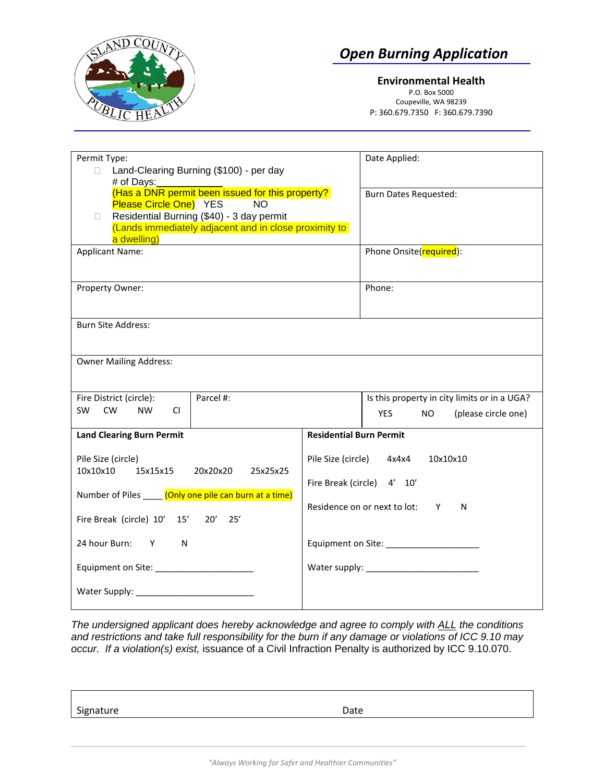

 *Open Burning Application*

**Environmental Health** P.O. Box 5000 Coupeville, WA 98239 P: 360.679.7350 F: 360.679.7390

| Permit Type:<br>Land-Clearing Burning (\$100) - per day<br>$\Box$<br># of Days:                                                                                                                                    | Date Applied:                                                                                                   |
|--------------------------------------------------------------------------------------------------------------------------------------------------------------------------------------------------------------------|-----------------------------------------------------------------------------------------------------------------|
| (Has a DNR permit been issued for this property?<br>Please Circle One) YES<br><b>NO</b><br>Residential Burning (\$40) - 3 day permit<br>П.<br>(Lands immediately adjacent and in close proximity to<br>a dwelling) | <b>Burn Dates Requested:</b>                                                                                    |
| <b>Applicant Name:</b>                                                                                                                                                                                             | Phone Onsite(required):                                                                                         |
| Property Owner:                                                                                                                                                                                                    | Phone:                                                                                                          |
| <b>Burn Site Address:</b>                                                                                                                                                                                          |                                                                                                                 |
| <b>Owner Mailing Address:</b>                                                                                                                                                                                      |                                                                                                                 |
| Parcel #:<br>Fire District (circle):<br><b>SW</b><br><b>CW</b><br><b>NW</b><br>CI.                                                                                                                                 | Is this property in city limits or in a UGA?<br><b>YES</b><br><b>NO</b><br>(please circle one)                  |
| <b>Land Clearing Burn Permit</b>                                                                                                                                                                                   | <b>Residential Burn Permit</b>                                                                                  |
| Pile Size (circle)<br>15x15x15<br>10x10x10<br>20x20x20<br>25x25x25<br>Number of Piles ____ (Only one pile can burn at a time)<br>Fire Break (circle) 10' 15' 20'<br>25'                                            | Pile Size (circle)<br>10x10x10<br>4x4x4<br>Fire Break (circle) 4' 10'<br>Residence on or next to lot:<br>N<br>Y |
| 24 hour Burn:<br>$Y$ and $Y$<br>N                                                                                                                                                                                  |                                                                                                                 |
|                                                                                                                                                                                                                    |                                                                                                                 |

*The undersigned applicant does hereby acknowledge and agree to comply with ALL the conditions and restrictions and take full responsibility for the burn if any damage or violations of ICC 9.10 may occur. If a violation(s) exist,* issuance of a Civil Infraction Penalty is authorized by ICC 9.10.070.

Signature Date Date Date Date